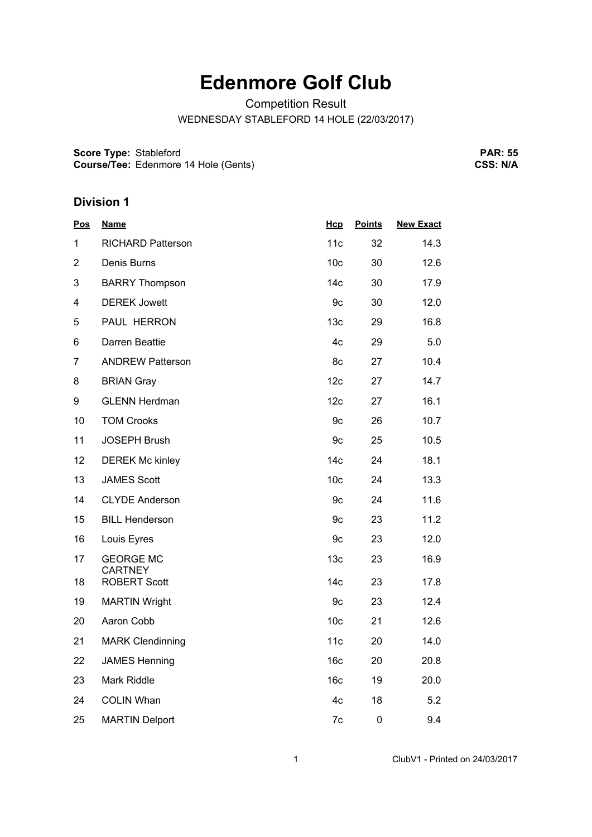## **Edenmore Golf Club**

Competition Result

WEDNESDAY STABLEFORD 14 HOLE (22/03/2017)

**Score Type:** Stableford

**Course/Tee:** Edenmore 14 Hole (Gents)

**PAR: 55 CSS: N/A**

## **Division 1**

| <u>Pos</u>     | <b>Name</b>                           | Hcp             | <b>Points</b> | <b>New Exact</b> |
|----------------|---------------------------------------|-----------------|---------------|------------------|
| 1              | <b>RICHARD Patterson</b>              | 11c             | 32            | 14.3             |
| $\overline{2}$ | Denis Burns                           | 10 <sub>c</sub> | 30            | 12.6             |
| 3              | <b>BARRY Thompson</b>                 | 14 <sub>c</sub> | 30            | 17.9             |
| 4              | <b>DEREK Jowett</b>                   | 9c              | 30            | 12.0             |
| 5              | PAUL HERRON                           | 13 <sub>c</sub> | 29            | 16.8             |
| 6              | Darren Beattie                        | 4c              | 29            | 5.0              |
| $\overline{7}$ | <b>ANDREW Patterson</b>               | 8c              | 27            | 10.4             |
| 8              | <b>BRIAN Gray</b>                     | 12c             | 27            | 14.7             |
| 9              | <b>GLENN Herdman</b>                  | 12c             | 27            | 16.1             |
| 10             | <b>TOM Crooks</b>                     | 9c              | 26            | 10.7             |
| 11             | <b>JOSEPH Brush</b>                   | 9c              | 25            | 10.5             |
| 12             | <b>DEREK Mc kinley</b>                | 14 <sub>c</sub> | 24            | 18.1             |
| 13             | <b>JAMES Scott</b>                    | 10 <sub>c</sub> | 24            | 13.3             |
| 14             | <b>CLYDE Anderson</b>                 | 9c              | 24            | 11.6             |
| 15             | <b>BILL Henderson</b>                 | 9c              | 23            | 11.2             |
| 16             | Louis Eyres                           | 9c              | 23            | 12.0             |
| 17             | <b>GEORGE MC</b>                      | 13 <sub>c</sub> | 23            | 16.9             |
| 18             | <b>CARTNEY</b><br><b>ROBERT Scott</b> | 14 <sub>c</sub> | 23            | 17.8             |
| 19             | <b>MARTIN Wright</b>                  | 9c              | 23            | 12.4             |
| 20             | Aaron Cobb                            | 10 <sub>c</sub> | 21            | 12.6             |
| 21             | <b>MARK Clendinning</b>               | 11c             | 20            | 14.0             |
| 22             | <b>JAMES Henning</b>                  | 16 <sub>c</sub> | 20            | 20.8             |
| 23             | Mark Riddle                           | 16 <sub>c</sub> | 19            | 20.0             |
| 24             | <b>COLIN Whan</b>                     | 4c              | 18            | 5.2              |
| 25             | <b>MARTIN Delport</b>                 | 7c              | $\mathbf 0$   | 9.4              |
|                |                                       |                 |               |                  |